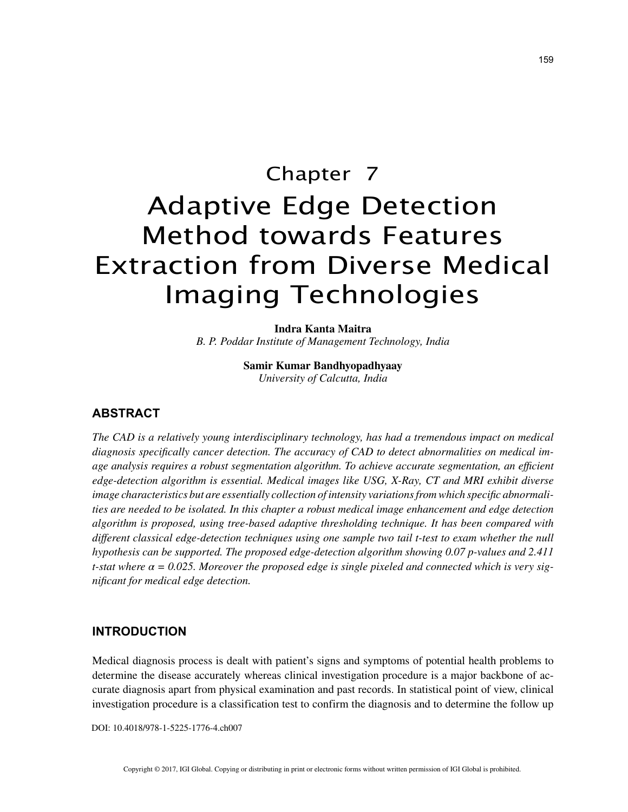# Chapter 7 Adaptive Edge Detection Method towards Features Extraction from Diverse Medical Imaging Technologies

**Indra Kanta Maitra** *B. P. Poddar Institute of Management Technology, India*

> **Samir Kumar Bandhyopadhyaay** *University of Calcutta, India*

### **ABSTRACT**

*The CAD is a relatively young interdisciplinary technology, has had a tremendous impact on medical diagnosis specifically cancer detection. The accuracy of CAD to detect abnormalities on medical image analysis requires a robust segmentation algorithm. To achieve accurate segmentation, an efficient edge-detection algorithm is essential. Medical images like USG, X-Ray, CT and MRI exhibit diverse image characteristics but are essentially collection of intensity variations from which specific abnormalities are needed to be isolated. In this chapter a robust medical image enhancement and edge detection algorithm is proposed, using tree-based adaptive thresholding technique. It has been compared with different classical edge-detection techniques using one sample two tail t-test to exam whether the null hypothesis can be supported. The proposed edge-detection algorithm showing 0.07 p-values and 2.411 t-stat where α = 0.025. Moreover the proposed edge is single pixeled and connected which is very significant for medical edge detection.*

#### **INTRODUCTION**

Medical diagnosis process is dealt with patient's signs and symptoms of potential health problems to determine the disease accurately whereas clinical investigation procedure is a major backbone of accurate diagnosis apart from physical examination and past records. In statistical point of view, clinical investigation procedure is a classification test to confirm the diagnosis and to determine the follow up

DOI: 10.4018/978-1-5225-1776-4.ch007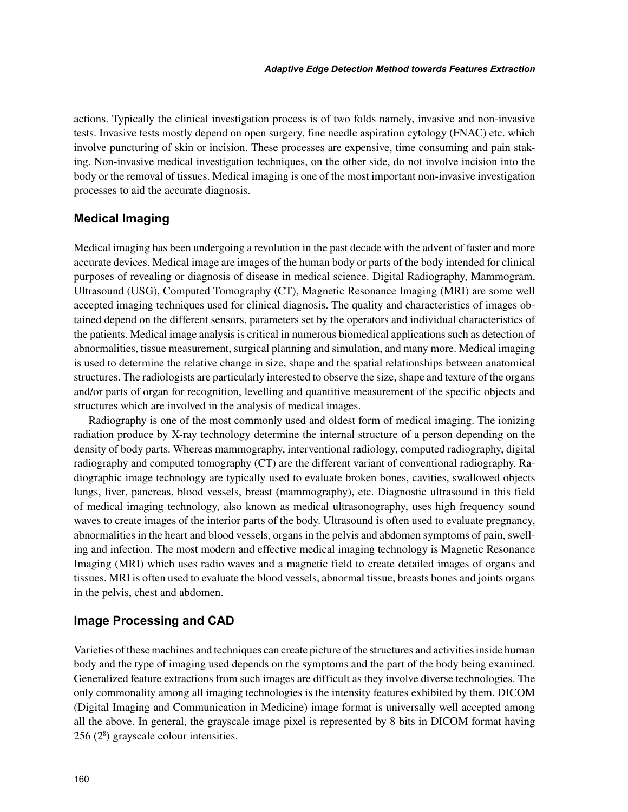actions. Typically the clinical investigation process is of two folds namely, invasive and non-invasive tests. Invasive tests mostly depend on open surgery, fine needle aspiration cytology (FNAC) etc. which involve puncturing of skin or incision. These processes are expensive, time consuming and pain staking. Non-invasive medical investigation techniques, on the other side, do not involve incision into the body or the removal of tissues. Medical imaging is one of the most important non-invasive investigation processes to aid the accurate diagnosis.

#### **Medical Imaging**

Medical imaging has been undergoing a revolution in the past decade with the advent of faster and more accurate devices. Medical image are images of the human body or parts of the body intended for clinical purposes of revealing or diagnosis of disease in medical science. Digital Radiography, Mammogram, Ultrasound (USG), Computed Tomography (CT), Magnetic Resonance Imaging (MRI) are some well accepted imaging techniques used for clinical diagnosis. The quality and characteristics of images obtained depend on the different sensors, parameters set by the operators and individual characteristics of the patients. Medical image analysis is critical in numerous biomedical applications such as detection of abnormalities, tissue measurement, surgical planning and simulation, and many more. Medical imaging is used to determine the relative change in size, shape and the spatial relationships between anatomical structures. The radiologists are particularly interested to observe the size, shape and texture of the organs and/or parts of organ for recognition, levelling and quantitive measurement of the specific objects and structures which are involved in the analysis of medical images.

Radiography is one of the most commonly used and oldest form of medical imaging. The ionizing radiation produce by X-ray technology determine the internal structure of a person depending on the density of body parts. Whereas mammography, interventional radiology, computed radiography, digital radiography and computed tomography (CT) are the different variant of conventional radiography. Radiographic image technology are typically used to evaluate broken bones, cavities, swallowed objects lungs, liver, pancreas, blood vessels, breast (mammography), etc. Diagnostic ultrasound in this field of medical imaging technology, also known as medical ultrasonography, uses high frequency sound waves to create images of the interior parts of the body. Ultrasound is often used to evaluate pregnancy, abnormalities in the heart and blood vessels, organs in the pelvis and abdomen symptoms of pain, swelling and infection. The most modern and effective medical imaging technology is Magnetic Resonance Imaging (MRI) which uses radio waves and a magnetic field to create detailed images of organs and tissues. MRI is often used to evaluate the blood vessels, abnormal tissue, breasts bones and joints organs in the pelvis, chest and abdomen.

#### **Image Processing and CAD**

Varieties of these machines and techniques can create picture of the structures and activities inside human body and the type of imaging used depends on the symptoms and the part of the body being examined. Generalized feature extractions from such images are difficult as they involve diverse technologies. The only commonality among all imaging technologies is the intensity features exhibited by them. DICOM (Digital Imaging and Communication in Medicine) image format is universally well accepted among all the above. In general, the grayscale image pixel is represented by 8 bits in DICOM format having 256 (28 ) grayscale colour intensities.